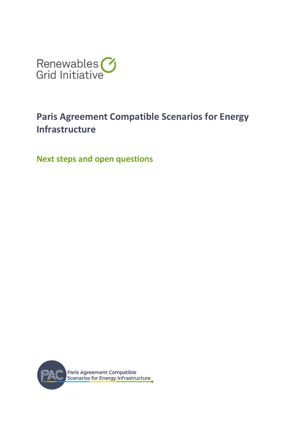

# **Paris Agreement Compatible Scenarios for Energy Infrastructure**

**Next steps and open questions**

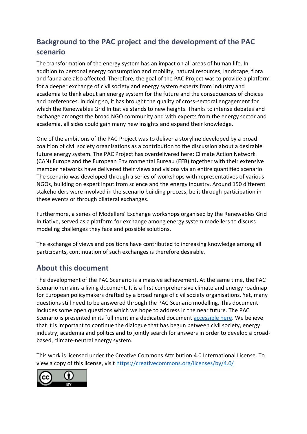# **Background to the PAC project and the development of the PAC scenario**

The transformation of the energy system has an impact on all areas of human life. In addition to personal energy consumption and mobility, natural resources, landscape, flora and fauna are also affected. Therefore, the goal of the PAC Project was to provide a platform for a deeper exchange of civil society and energy system experts from industry and academia to think about an energy system for the future and the consequences of choices and preferences. In doing so, it has brought the quality of cross-sectoral engagement for which the Renewables Grid Initiative stands to new heights. Thanks to intense debates and exchange amongst the broad NGO community and with experts from the energy sector and academia, all sides could gain many new insights and expand their knowledge.

One of the ambitions of the PAC Project was to deliver a storyline developed by a broad coalition of civil society organisations as a contribution to the discussion about a desirable future energy system. The PAC Project has overdelivered here: Climate Action Network (CAN) Europe and the European Environmental Bureau (EEB) together with their extensive member networks have delivered their views and visions via an entire quantified scenario. The scenario was developed through a series of workshops with representatives of various NGOs, building on expert input from science and the energy industry. Around 150 different stakeholders were involved in the scenario building process, be it through participation in these events or through bilateral exchanges.

Furthermore, a series of Modellers' Exchange workshops organised by the Renewables Grid Initiative, served as a platform for exchange among energy system modellers to discuss modeling challenges they face and possible solutions.

The exchange of views and positions have contributed to increasing knowledge among all participants, continuation of such exchanges is therefore desirable.

# **About this document**

The development of the PAC Scenario is a massive achievement. At the same time, the PAC Scenario remains a living document. It is a first comprehensive climate and energy roadmap for European policymakers drafted by a broad range of civil society organisations. Yet, many questions still need to be answered through the PAC Scenario modelling. This document includes some open questions which we hope to address in the near future. The PAC Scenario is presented in its full merit in a dedicated document [accessible here.](https://www.pac-scenarios.eu/fileadmin/user_upload/PAC_scenario_technical_summary_final.pdf) We believe that it is important to continue the dialogue that has begun between civil society, energy industry, academia and politics and to jointly search for answers in order to develop a broadbased, climate-neutral energy system.

This work is licensed under the Creative Commons Attribution 4.0 International License. To view a copy of this license, visit<https://creativecommons.org/licenses/by/4.0/>

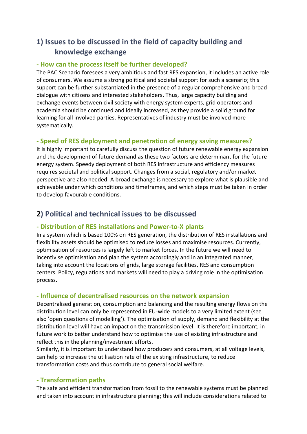# **1) Issues to be discussed in the field of capacity building and knowledge exchange**

#### **- How can the process itself be further developed?**

The PAC Scenario foresees a very ambitious and fast RES expansion, it includes an active role of consumers. We assume a strong political and societal support for such a scenario; this support can be further substantiated in the presence of a regular comprehensive and broad dialogue with citizens and interested stakeholders. Thus, large capacity building and exchange events between civil society with energy system experts, grid operators and academia should be continued and ideally increased, as they provide a solid ground for learning for all involved parties. Representatives of industry must be involved more systematically.

# **- Speed of RES deployment and penetration of energy saving measures?**

It is highly important to carefully discuss the question of future renewable energy expansion and the development of future demand as these two factors are determinant for the future energy system. Speedy deployment of both RES infrastructure and efficiency measures requires societal and political support. Changes from a social, regulatory and/or market perspective are also needed. A broad exchange is necessary to explore what is plausible and achievable under which conditions and timeframes, and which steps must be taken in order to develop favourable conditions.

# **2) Political and technical issues to be discussed**

# **- Distribution of RES installations and Power-to-X plants**

In a system which is based 100% on RES generation, the distribution of RES installations and flexibility assets should be optimised to reduce losses and maximise resources. Currently, optimisation of resources is largely left to market forces. In the future we will need to incentivise optimisation and plan the system accordingly and in an integrated manner, taking into account the locations of grids, large storage facilities, RES and consumption centers. Policy, regulations and markets will need to play a driving role in the optimisation process.

# **- Influence of decentralised resources on the network expansion**

Decentralised generation, consumption and balancing and the resulting energy flows on the distribution level can only be represented in EU-wide models to a very limited extent (see also 'open questions of modelling'). The optimisation of supply, demand and flexibility at the distribution level will have an impact on the transmission level. It is therefore important, in future work to better understand how to optimise the use of existing infrastructure and reflect this in the planning/investment efforts.

Similarly, it is important to understand how producers and consumers, at all voltage levels, can help to increase the utilisation rate of the existing infrastructure, to reduce transformation costs and thus contribute to general social welfare.

#### **- Transformation paths**

The safe and efficient transformation from fossil to the renewable systems must be planned and taken into account in infrastructure planning; this will include considerations related to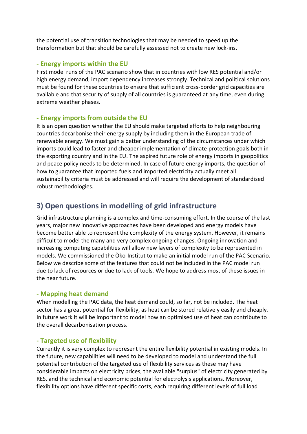the potential use of transition technologies that may be needed to speed up the transformation but that should be carefully assessed not to create new lock-ins.

#### **- Energy imports within the EU**

First model runs of the PAC scenario show that in countries with low RES potential and/or high energy demand, import dependency increases strongly. Technical and political solutions must be found for these countries to ensure that sufficient cross-border grid capacities are available and that security of supply of all countries is guaranteed at any time, even during extreme weather phases.

# **- Energy imports from outside the EU**

It is an open question whether the EU should make targeted efforts to help neighbouring countries decarbonise their energy supply by including them in the European trade of renewable energy. We must gain a better understanding of the circumstances under which imports could lead to faster and cheaper implementation of climate protection goals both in the exporting country and in the EU. The aspired future role of energy imports in geopolitics and peace policy needs to be determined. In case of future energy imports, the question of how to guarantee that imported fuels and imported electricity actually meet all sustainability criteria must be addressed and will require the development of standardised robust methodologies.

# **3) Open questions in modelling of grid infrastructure**

Grid infrastructure planning is a complex and time-consuming effort. In the course of the last years, major new innovative approaches have been developed and energy models have become better able to represent the complexity of the energy system. However, it remains difficult to model the many and very complex ongoing changes. Ongoing innovation and increasing computing capabilities will allow new layers of complexity to be represented in models. We commissioned the Öko-Institut to make an initial model run of the PAC Scenario. Below we describe some of the features that could not be included in the PAC model run due to lack of resources or due to lack of tools. We hope to address most of these issues in the near future.

# **- Mapping heat demand**

When modelling the PAC data, the heat demand could, so far, not be included. The heat sector has a great potential for flexibility, as heat can be stored relatively easily and cheaply. In future work it will be important to model how an optimised use of heat can contribute to the overall decarbonisation process.

# **- Targeted use of flexibility**

Currently it is very complex to represent the entire flexibility potential in existing models. In the future, new capabilities will need to be developed to model and understand the full potential contribution of the targeted use of flexibility services as these may have considerable impacts on electricity prices, the available "surplus" of electricity generated by RES, and the technical and economic potential for electrolysis applications. Moreover, flexibility options have different specific costs, each requiring different levels of full load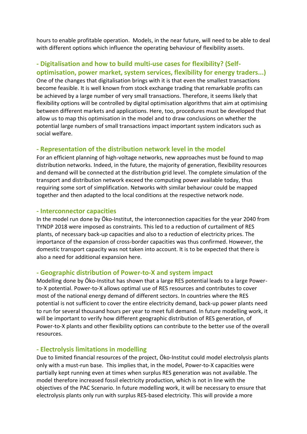hours to enable profitable operation. Models, in the near future, will need to be able to deal with different options which influence the operating behaviour of flexibility assets.

# **- Digitalisation and how to build multi-use cases for flexibility? (Selfoptimisation, power market, system services, flexibility for energy traders...)**

One of the changes that digitalisation brings with it is that even the smallest transactions become feasible. It is well known from stock exchange trading that remarkable profits can be achieved by a large number of very small transactions. Therefore, it seems likely that flexibility options will be controlled by digital optimisation algorithms that aim at optimising between different markets and applications. Here, too, procedures must be developed that allow us to map this optimisation in the model and to draw conclusions on whether the potential large numbers of small transactions impact important system indicators such as social welfare.

#### **- Representation of the distribution network level in the model**

For an efficient planning of high-voltage networks, new approaches must be found to map distribution networks. Indeed, in the future, the majority of generation, flexibility resources and demand will be connected at the distribution grid level. The complete simulation of the transport and distribution network exceed the computing power available today, thus requiring some sort of simplification. Networks with similar behaviour could be mapped together and then adapted to the local conditions at the respective network node.

#### **- Interconnector capacities**

In the model run done by Öko-Institut, the interconnection capacities for the year 2040 from TYNDP 2018 were imposed as constraints. This led to a reduction of curtailment of RES plants, of necessary back-up capacities and also to a reduction of electricity prices. The importance of the expansion of cross-border capacities was thus confirmed. However, the domestic transport capacity was not taken into account. It is to be expected that there is also a need for additional expansion here.

#### **- Geographic distribution of Power-to-X and system impact**

Modelling done by Öko-Institut has shown that a large RES potential leads to a large Powerto-X potential. Power-to-X allows optimal use of RES resources and contributes to cover most of the national energy demand of different sectors. In countries where the RES potential is not sufficient to cover the entire electricity demand, back-up power plants need to run for several thousand hours per year to meet full demand. In future modelling work, it will be important to verify how different geographic distribution of RES generation, of Power-to-X plants and other flexibility options can contribute to the better use of the overall resources.

#### **- Electrolysis limitations in modelling**

Due to limited financial resources of the project, Öko-Institut could model electrolysis plants only with a must-run base. This implies that, in the model, Power-to-X capacities were partially kept running even at times when surplus RES generation was not available. The model therefore increased fossil electricity production, which is not in line with the objectives of the PAC Scenario. In future modelling work, it will be necessary to ensure that electrolysis plants only run with surplus RES-based electricity. This will provide a more